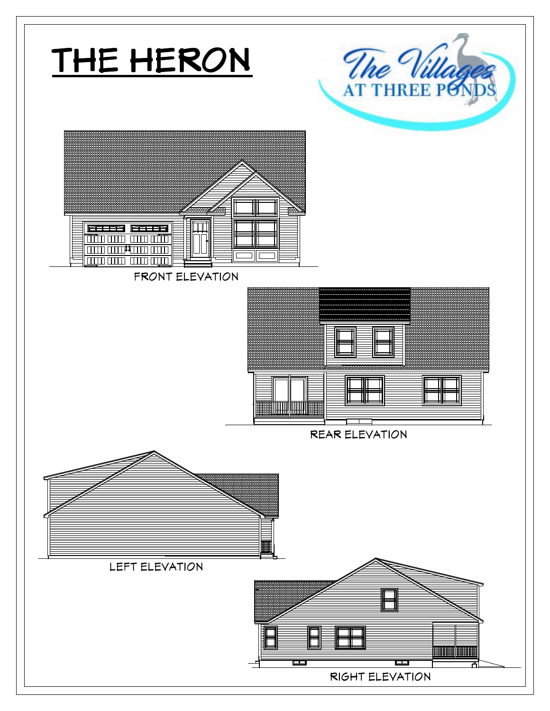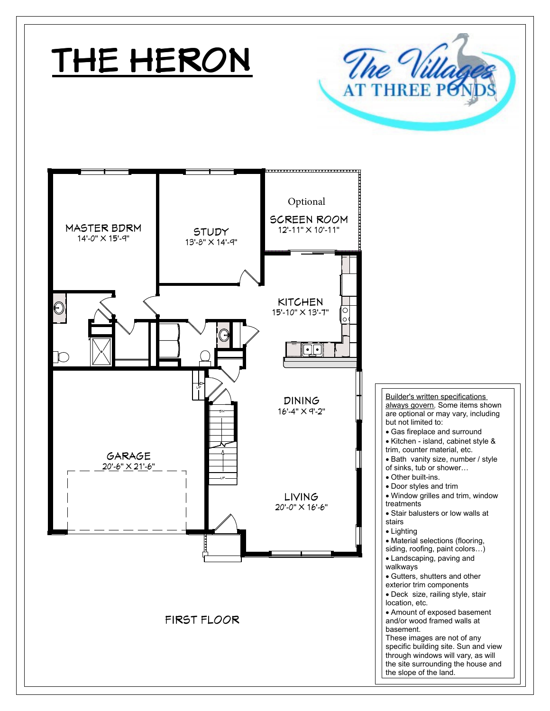